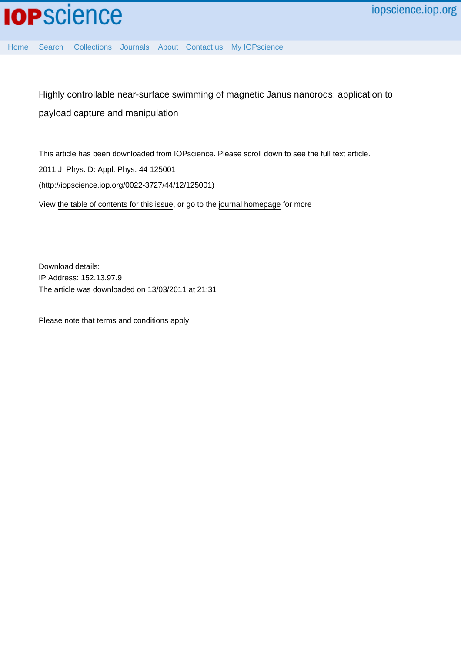

[Home](http://iopscience.iop.org/) [Search](http://iopscience.iop.org/search) [Collections](http://iopscience.iop.org/collections) [Journals](http://iopscience.iop.org/journals) [About](http://iopscience.iop.org/page/aboutioppublishing) [Contact us](http://iopscience.iop.org/contact) [My IOPscience](http://iopscience.iop.org/myiopscience)

Highly controllable near-surface swimming of magnetic Janus nanorods: application to payload capture and manipulation

This article has been downloaded from IOPscience. Please scroll down to see the full text article. 2011 J. Phys. D: Appl. Phys. 44 125001 (http://iopscience.iop.org/0022-3727/44/12/125001) View [the table of contents for this issue](http://iopscience.iop.org/0022-3727/44/12), or go to the [journal homepage](http://iopscience.iop.org/0022-3727) for more

Download details: IP Address: 152.13.97.9 The article was downloaded on 13/03/2011 at 21:31

Please note that [terms and conditions apply.](http://iopscience.iop.org/page/terms)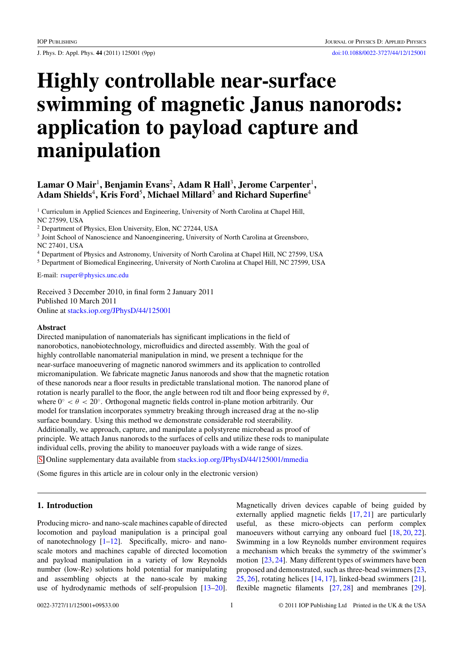# **Highly controllable near-surface swimming of magnetic Janus nanorods: application to payload capture and manipulation**

# **Lamar O Mair**<sup>1</sup>**, Benjamin Evans**<sup>2</sup>**, Adam R Hall**<sup>3</sup>**, Jerome Carpenter**<sup>1</sup>**, Adam Shields**<sup>4</sup>**, Kris Ford**<sup>5</sup>**, Michael Millard**<sup>5</sup> **and Richard Superfine**<sup>4</sup>

<sup>1</sup> Curriculum in Applied Sciences and Engineering, University of North Carolina at Chapel Hill, NC 27599, USA

<sup>2</sup> Department of Physics, Elon University, Elon, NC 27244, USA

<sup>3</sup> Joint School of Nanoscience and Nanoengineering, University of North Carolina at Greensboro, NC 27401, USA

<sup>4</sup> Department of Physics and Astronomy, University of North Carolina at Chapel Hill, NC 27599, USA

<sup>5</sup> Department of Biomedical Engineering, University of North Carolina at Chapel Hill, NC 27599, USA

E-mail: [rsuper@physics.unc.edu](mailto: rsuper@physics.unc.edu)

Received 3 December 2010, in final form 2 January 2011 Published 10 March 2011 Online at [stacks.iop.org/JPhysD/44/125001](http://stacks.iop.org/JPhysD/44/125001)

### **Abstract**

Directed manipulation of nanomaterials has significant implications in the field of nanorobotics, nanobiotechnology, microfluidics and directed assembly. With the goal of highly controllable nanomaterial manipulation in mind, we present a technique for the near-surface manoeuvering of magnetic nanorod swimmers and its application to controlled micromanipulation. We fabricate magnetic Janus nanorods and show that the magnetic rotation of these nanorods near a floor results in predictable translational motion. The nanorod plane of rotation is nearly parallel to the floor, the angle between rod tilt and floor being expressed by  $\theta$ , where  $0^\circ < \theta < 20^\circ$ . Orthogonal magnetic fields control in-plane motion arbitrarily. Our model for translation incorporates symmetry breaking through increased drag at the no-slip surface boundary. Using this method we demonstrate considerable rod steerability. Additionally, we approach, capture, and manipulate a polystyrene microbead as proof of principle. We attach Janus nanorods to the surfaces of cells and utilize these rods to manipulate individual cells, proving the ability to manoeuver payloads with a wide range of sizes.

S Online supplementary data available from [stacks.iop.org/JPhysD/44/125001/mmedia](http://stacks.iop.org/JPhysD/44/125001/mmedia)

(Some figures in this article are in colour only in the electronic version)

## **1. Introduction**

Producing micro- and nano-scale machines capable of directed locomotion and payload manipulation is a principal goal of nanotechnology  $[1-12]$ . Specifically, micro- and nanoscale motors and machines capable of directed locomotion and payload manipulation in a variety of low Reynolds number (low-Re) solutions hold potential for manipulating and assembling objects at the nano-scale by making use of hydrodynamic methods of self-propulsion [\[13–20\]](#page-8-0).

Magnetically driven devices capable of being guided by externally applied magnetic fields [\[17,](#page-8-0) [21\]](#page-8-0) are particularly useful, as these micro-objects can perform complex manoeuvers without carrying any onboard fuel [\[18,](#page-8-0) [20,](#page-8-0) [22\]](#page-8-0). Swimming in a low Reynolds number environment requires a mechanism which breaks the symmetry of the swimmer's motion [\[23,](#page-8-0) [24\]](#page-8-0). Many different types of swimmers have been proposed and demonstrated, such as three-bead swimmers [\[23,](#page-8-0) [25,](#page-8-0) [26\]](#page-8-0), rotating helices [\[14,](#page-8-0) [17\]](#page-8-0), linked-bead swimmers [\[21\]](#page-8-0), flexible magnetic filaments [\[27,](#page-8-0) [28\]](#page-8-0) and membranes [\[29\]](#page-8-0).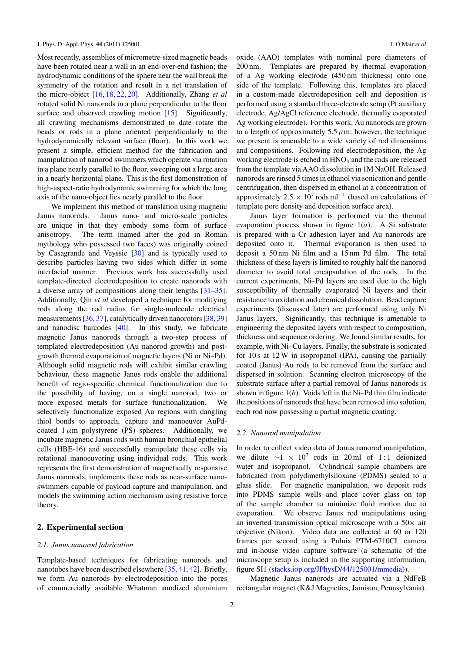Most recently, assemblies of micrometre-sized magnetic beads have been rotated near a wall in an end-over-end fashion; the hydrodynamic conditions of the sphere near the wall break the symmetry of the rotation and result in a net translation of the micro-object [\[16,](#page-8-0) [18,](#page-8-0) [22,](#page-8-0) [20\]](#page-8-0). Additionally, Zhang *et al* rotated solid Ni nanorods in a plane perpendicular to the floor surface and observed crawling motion [\[15\]](#page-8-0). Significantly, all crawling mechanisms demonstrated to date rotate the beads or rods in a plane oriented perpendicularly to the hydrodynamically relevant surface (floor). In this work we present a simple, efficient method for the fabrication and manipulation of nanorod swimmers which operate via rotation in a plane nearly parallel to the floor, sweeping out a large area in a nearly horizontal plane. This is the first demonstration of high-aspect-ratio hydrodynamic swimming for which the long axis of the nano-object lies nearly parallel to the floor.

We implement this method of translation using magnetic Janus nanorods. Janus nano- and micro-scale particles are unique in that they embody some form of surface anisotropy. The term (named after the god in Roman mythology who possessed two faces) was originally coined by Casagrande and Veyssie [\[30\]](#page-8-0) and is typically used to describe particles having two sides which differ in some interfacial manner. Previous work has successfully used template-directed electrodeposition to create nanorods with a diverse array of compositions along their lengths [\[31–35\]](#page-8-0). Additionally, Qin *et al* developed a technique for modifying rods along the rod radius for single-molecule electrical measurements [\[36,](#page-8-0) [37\]](#page-8-0), catalytically driven nanorotors [\[38,](#page-8-0) [39\]](#page-8-0) and nanodisc barcodes [\[40\]](#page-8-0). In this study, we fabricate magnetic Janus nanorods through a two-step process of templated electrodeposition (Au nanorod growth) and postgrowth thermal evaporation of magnetic layers (Ni or Ni–Pd). Although solid magnetic rods will exhibit similar crawling behaviour, these magnetic Janus rods enable the additional benefit of regio-specific chemical functionalization due to the possibility of having, on a single nanorod, two or more exposed metals for surface functionalization. We selectively functionalize exposed Au regions with dangling thiol bonds to approach, capture and manoeuver AuPdcoated  $1 \mu m$  polystyrene (PS) spheres. Additionally, we incubate magnetic Janus rods with human bronchial epithelial cells (HBE-16) and successfully manipulate these cells via rotational manoeuvering using individual rods. This work represents the first demonstration of magnetically responsive Janus nanorods, implements these rods as near-surface nanoswimmers capable of payload capture and manipulation, and models the swimming action mechanism using resistive force theory.

# **2. Experimental section**

### *2.1. Janus nanorod fabrication*

Template-based techniques for fabricating nanorods and nanotubes have been described elsewhere [\[35,](#page-8-0) [41,](#page-9-0) [42\]](#page-9-0). Briefly, we form Au nanorods by electrodeposition into the pores of commercially available Whatman anodized aluminium oxide (AAO) templates with nominal pore diameters of 200 nm. Templates are prepared by thermal evaporation of a Ag working electrode (450 nm thickness) onto one side of the template. Following this, templates are placed in a custom-made electrodeposition cell and deposition is performed using a standard three-electrode setup (Pt auxiliary electrode, Ag/AgCl reference electrode, thermally evaporated Ag working electrode). For this work, Au nanorods are grown to a length of approximately  $5.5 \mu m$ ; however, the technique we present is amenable to a wide variety of rod dimensions and compositions. Following rod electrodeposition, the Ag working electrode is etched in HNO<sub>3</sub> and the rods are released from the template via AAO dissolution in 1M NaOH. Released nanorods are rinsed 5 times in ethanol via sonication and gentle centrifugation, then dispersed in ethanol at a concentration of approximately  $2.5 \times 10^7$  rods ml<sup>-1</sup> (based on calculations of template pore density and deposition surface area).

Janus layer formation is performed via the thermal evaporation process shown in figure [1\(](#page-3-0)*a*). A Si substrate is prepared with a Cr adhesion layer and Au nanorods are deposited onto it. Thermal evaporation is then used to deposit a 50 nm Ni film and a 15 nm Pd film. The total thickness of these layers is limited to roughly half the nanorod diameter to avoid total encapsulation of the rods. In the current experiments, Ni–Pd layers are used due to the high susceptibility of thermally evaporated Ni layers and their resistance to oxidation and chemical dissolution. Bead capture experiments (discussed later) are performed using only Ni Janus layers. Significantly, this technique is amenable to engineering the deposited layers with respect to composition, thickness and sequence ordering. We found similar results, for example, with Ni–Cu layers. Finally, the substrate is sonicated for 10 s at 12 W in isopropanol (IPA), causing the partially coated (Janus) Au rods to be removed from the surface and dispersed in solution. Scanning electron microscopy of the substrate surface after a partial removal of Janus nanorods is shown in figure [1\(](#page-3-0)*b*). Voids left in the Ni–Pd thin film indicate the positions of nanorods that have been removed into solution, each rod now possessing a partial magnetic coating.

### *2.2. Nanorod manipulation*

In order to collect video data of Janus nanorod manipulation, we dilute  $\sim$ 1 × 10<sup>7</sup> rods in 20 ml of 1:1 deionized water and isopropanol. Cylindrical sample chambers are fabricated from polydimethylsiloxane (PDMS) sealed to a glass slide. For magnetic manipulation, we deposit rods into PDMS sample wells and place cover glass on top of the sample chamber to minimize fluid motion due to evaporation. We observe Janus rod manipulations using an inverted transmission optical microscope with a  $50\times$  air objective (Nikon). Video data are collected at 60 or 120 frames per second using a Pulnix PTM-6710CL camera and in-house video capture software (a schematic of the microscope setup is included in the supporting information, figure SI1 [\(stacks.iop.org/JPhysD/44/125001/mmedia\)](http://stacks.iop.org/JPhysD/44/125001/mmedia)).

Magnetic Janus nanorods are actuated via a NdFeB rectangular magnet (K&J Magnetics, Jamison, Pennsylvania).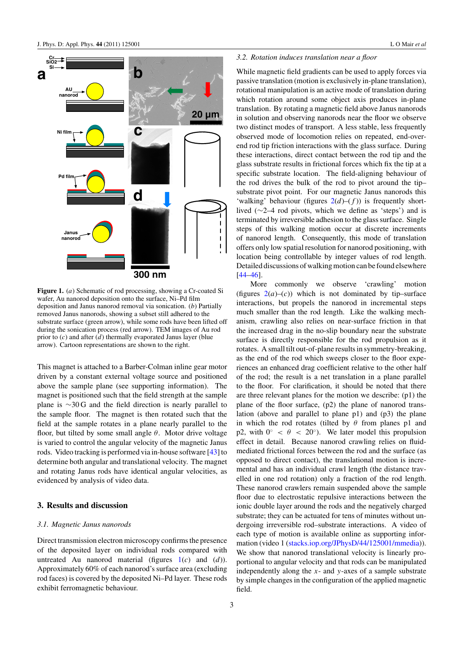<span id="page-3-0"></span>

**Figure 1.** (*a*) Schematic of rod processing, showing a Cr-coated Si wafer, Au nanorod deposition onto the surface, Ni–Pd film deposition and Janus nanorod removal via sonication. (*b*) Partially removed Janus nanorods, showing a subset still adhered to the substrate surface (green arrow), while some rods have been lifted off during the sonication process (red arrow). TEM images of Au rod prior to (*c*) and after (*d*) thermally evaporated Janus layer (blue arrow). Cartoon representations are shown to the right.

This magnet is attached to a Barber-Colman inline gear motor driven by a constant external voltage source and positioned above the sample plane (see supporting information). The magnet is positioned such that the field strength at the sample plane is ∼30 G and the field direction is nearly parallel to the sample floor. The magnet is then rotated such that the field at the sample rotates in a plane nearly parallel to the floor, but tilted by some small angle *θ*. Motor drive voltage is varied to control the angular velocity of the magnetic Janus rods. Video tracking is performed via in-house software [\[43\]](#page-9-0) to determine both angular and translational velocity. The magnet and rotating Janus rods have identical angular velocities, as evidenced by analysis of video data.

### **3. Results and discussion**

### *3.1. Magnetic Janus nanorods*

Direct transmission electron microscopy confirms the presence of the deposited layer on individual rods compared with untreated Au nanorod material (figures 1(*c*) and (*d*)). Approximately 60% of each nanorod's surface area (excluding rod faces) is covered by the deposited Ni–Pd layer. These rods exhibit ferromagnetic behaviour.

### *3.2. Rotation induces translation near a floor*

While magnetic field gradients can be used to apply forces via passive translation (motion is exclusively in-plane translation), rotational manipulation is an active mode of translation during which rotation around some object axis produces in-plane translation. By rotating a magnetic field above Janus nanorods in solution and observing nanorods near the floor we observe two distinct modes of transport. A less stable, less frequently observed mode of locomotion relies on repeated, end-overend rod tip friction interactions with the glass surface. During these interactions, direct contact between the rod tip and the glass substrate results in frictional forces which fix the tip at a specific substrate location. The field-aligning behaviour of the rod drives the bulk of the rod to pivot around the tip– substrate pivot point. For our magnetic Janus nanorods this 'walking' behaviour (figures  $2(d)$  $2(d)$ – $(f)$ ) is frequently shortlived (∼2–4 rod pivots, which we define as 'steps') and is terminated by irreversible adhesion to the glass surface. Single steps of this walking motion occur at discrete increments of nanorod length. Consequently, this mode of translation offers only low spatial resolution for nanorod positioning, with location being controllable by integer values of rod length. Detailed discussions of walking motion can be found elsewhere [\[44–46\]](#page-9-0).

More commonly we observe 'crawling' motion (figures  $2(a)$  $2(a)$ –(*c*)) which is not dominated by tip–surface interactions, but propels the nanorod in incremental steps much smaller than the rod length. Like the walking mechanism, crawling also relies on near-surface friction in that the increased drag in the no-slip boundary near the substrate surface is directly responsible for the rod propulsion as it rotates. A small tilt out-of-plane results in symmetry-breaking, as the end of the rod which sweeps closer to the floor experiences an enhanced drag coefficient relative to the other half of the rod; the result is a net translation in a plane parallel to the floor. For clarification, it should be noted that there are three relevant planes for the motion we describe: (p1) the plane of the floor surface, (p2) the plane of nanorod translation (above and parallel to plane p1) and (p3) the plane in which the rod rotates (tilted by *θ* from planes p1 and p2, with  $0<sup>°</sup> < \theta < 20<sup>°</sup>$ ). We later model this propulsion effect in detail. Because nanorod crawling relies on fluidmediated frictional forces between the rod and the surface (as opposed to direct contact), the translational motion is incremental and has an individual crawl length (the distance travelled in one rod rotation) only a fraction of the rod length. These nanorod crawlers remain suspended above the sample floor due to electrostatic repulsive interactions between the ionic double layer around the rods and the negatively charged substrate; they can be actuated for tens of minutes without undergoing irreversible rod–substrate interactions. A video of each type of motion is available online as supporting information (video 1 [\(stacks.iop.org/JPhysD/44/125001/mmedia\)](http://stacks.iop.org/JPhysD/44/125001/mmedia)). We show that nanorod translational velocity is linearly proportional to angular velocity and that rods can be manipulated independently along the *x*- and *y*-axes of a sample substrate by simple changes in the configuration of the applied magnetic field.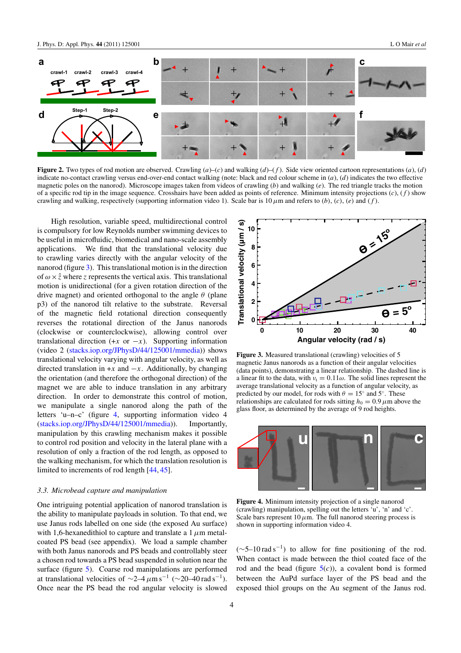<span id="page-4-0"></span>

**Figure 2.** Two types of rod motion are observed. Crawling  $(a)$ –(*c*) and walking  $(d)$ –(*f*). Side view oriented cartoon representations  $(a)$ ,  $(d)$ indicate no-contact crawling versus end-over-end contact walking (note: black and red colour scheme in (*a*), (*d*) indicates the two effective magnetic poles on the nanorod). Microscope images taken from videos of crawling (*b*) and walking (*e*). The red triangle tracks the motion of a specific rod tip in the image sequence. Crosshairs have been added as points of reference. Minimum intensity projections (*c*), (*f* ) show crawling and walking, respectively (supporting information video 1). Scale bar is  $10 \mu m$  and refers to *(b)*, *(c)*, *(e)* and *(f)*.

High resolution, variable speed, multidirectional control is compulsory for low Reynolds number swimming devices to be useful in microfluidic, biomedical and nano-scale assembly applications. We find that the translational velocity due to crawling varies directly with the angular velocity of the nanorod (figure 3). This translational motion is in the direction of  $\omega \times \hat{z}$  where *z* represents the vertical axis. This translational motion is unidirectional (for a given rotation direction of the drive magnet) and oriented orthogonal to the angle *θ* (plane p3) of the nanorod tilt relative to the substrate. Reversal of the magnetic field rotational direction consequently reverses the rotational direction of the Janus nanorods (clockwise or counterclockwise), allowing control over translational direction  $(+x \text{ or } -x)$ . Supporting information (video 2 [\(stacks.iop.org/JPhysD/44/125001/mmedia\)](http://stacks.iop.org/JPhysD/44/125001/mmedia)) shows translational velocity varying with angular velocity, as well as directed translation in  $+x$  and  $-x$ . Additionally, by changing the orientation (and therefore the orthogonal direction) of the magnet we are able to induce translation in any arbitrary direction. In order to demonstrate this control of motion, we manipulate a single nanorod along the path of the letters 'u–n–c' (figure 4, supporting information video 4 [\(stacks.iop.org/JPhysD/44/125001/mmedia\)](http://stacks.iop.org/JPhysD/44/125001/mmedia)). Importantly, manipulation by this crawling mechanism makes it possible to control rod position and velocity in the lateral plane with a resolution of only a fraction of the rod length, as opposed to the walking mechanism, for which the translation resolution is limited to increments of rod length [\[44,](#page-9-0) [45\]](#page-9-0).

### *3.3. Microbead capture and manipulation*

One intriguing potential application of nanorod translation is the ability to manipulate payloads in solution. To that end, we use Janus rods labelled on one side (the exposed Au surface) with 1,6-hexanedithiol to capture and translate a 1*µ*m metalcoated PS bead (see appendix). We load a sample chamber with both Janus nanorods and PS beads and controllably steer a chosen rod towards a PS bead suspended in solution near the surface (figure [5\)](#page-5-0). Coarse rod manipulations are performed at translational velocities of  $\sim$ 2–4 $\mu$ m s<sup>-1</sup> ( $\sim$ 20–40 rad s<sup>-1</sup>). Once near the PS bead the rod angular velocity is slowed



Figure 3. Measured translational (crawling) velocities of 5 magnetic Janus nanorods as a function of their angular velocities (data points), demonstrating a linear relationship. The dashed line is a linear fit to the data, with  $v_t = 0.11\omega$ . The solid lines represent the average translational velocity as a function of angular velocity, as predicted by our model, for rods with  $\theta = 15°$  and  $5°$ . These relationships are calculated for rods sitting  $h_0 = 0.9 \mu$ m above the glass floor, as determined by the average of 9 rod heights.



**Figure 4.** Minimum intensity projection of a single nanorod (crawling) manipulation, spelling out the letters 'u', 'n' and 'c'. Scale bars represent  $10 \mu$ m. The full nanorod steering process is shown in supporting information video 4.

 $(\sim 5-10 \text{ rad s}^{-1})$  to allow for fine positioning of the rod. When contact is made between the thiol coated face of the rod and the bead (figure  $5(c)$  $5(c)$ ), a covalent bond is formed between the AuPd surface layer of the PS bead and the exposed thiol groups on the Au segment of the Janus rod.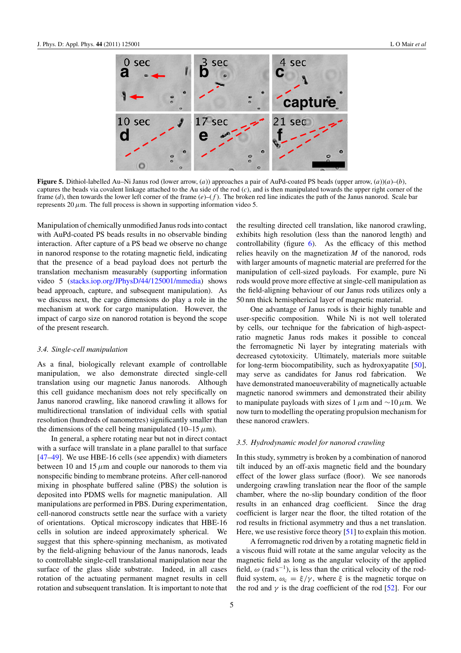<span id="page-5-0"></span>

**Figure 5.** Dithiol-labelled Au–Ni Janus rod (lower arrow, (*a*)) approaches a pair of AuPd-coated PS beads (upper arrow, (*a*))(*a*)–(*b*), captures the beads via covalent linkage attached to the Au side of the rod (*c*), and is then manipulated towards the upper right corner of the frame (*d*), then towards the lower left corner of the frame (*e*)–(*f* ). The broken red line indicates the path of the Janus nanorod. Scale bar represents  $20 \mu$ m. The full process is shown in supporting information video 5.

Manipulation of chemically unmodified Janus rods into contact with AuPd-coated PS beads results in no observable binding interaction. After capture of a PS bead we observe no change in nanorod response to the rotating magnetic field, indicating that the presence of a bead payload does not perturb the translation mechanism measurably (supporting information video 5 [\(stacks.iop.org/JPhysD/44/125001/mmedia\)](http://stacks.iop.org/JPhysD/44/125001/mmedia) shows bead approach, capture, and subsequent manipulation). As we discuss next, the cargo dimensions do play a role in the mechanism at work for cargo manipulation. However, the impact of cargo size on nanorod rotation is beyond the scope of the present research.

### *3.4. Single-cell manipulation*

As a final, biologically relevant example of controllable manipulation, we also demonstrate directed single-cell translation using our magnetic Janus nanorods. Although this cell guidance mechanism does not rely specifically on Janus nanorod crawling, like nanorod crawling it allows for multidirectional translation of individual cells with spatial resolution (hundreds of nanometres) significantly smaller than the dimensions of the cell being manipulated  $(10-15 \,\mu m)$ .

In general, a sphere rotating near but not in direct contact with a surface will translate in a plane parallel to that surface [\[47–49\]](#page-9-0). We use HBE-16 cells (see appendix) with diameters between 10 and 15  $\mu$ m and couple our nanorods to them via nonspecific binding to membrane proteins. After cell-nanorod mixing in phosphate buffered saline (PBS) the solution is deposited into PDMS wells for magnetic manipulation. All manipulations are performed in PBS. During experimentation, cell-nanorod constructs settle near the surface with a variety of orientations. Optical microscopy indicates that HBE-16 cells in solution are indeed approximately spherical. We suggest that this sphere-spinning mechanism, as motivated by the field-aligning behaviour of the Janus nanorods, leads to controllable single-cell translational manipulation near the surface of the glass slide substrate. Indeed, in all cases rotation of the actuating permanent magnet results in cell rotation and subsequent translation. It is important to note that

the resulting directed cell translation, like nanorod crawling, exhibits high resolution (less than the nanorod length) and controllability (figure  $6$ ). As the efficacy of this method relies heavily on the magnetization *M* of the nanorod, rods with larger amounts of magnetic material are preferred for the manipulation of cell-sized payloads. For example, pure Ni rods would prove more effective at single-cell manipulation as the field-aligning behaviour of our Janus rods utilizes only a 50 nm thick hemispherical layer of magnetic material.

One advantage of Janus rods is their highly tunable and user-specific composition. While Ni is not well tolerated by cells, our technique for the fabrication of high-aspectratio magnetic Janus rods makes it possible to conceal the ferromagnetic Ni layer by integrating materials with decreased cytotoxicity. Ultimately, materials more suitable for long-term biocompatibility, such as hydroxyapatite [\[50\]](#page-9-0), may serve as candidates for Janus rod fabrication. We have demonstrated manoeuverability of magnetically actuable magnetic nanorod swimmers and demonstrated their ability to manipulate payloads with sizes of 1*µ*m and ∼10*µ*m. We now turn to modelling the operating propulsion mechanism for these nanorod crawlers.

### *3.5. Hydrodynamic model for nanorod crawling*

In this study, symmetry is broken by a combination of nanorod tilt induced by an off-axis magnetic field and the boundary effect of the lower glass surface (floor). We see nanorods undergoing crawling translation near the floor of the sample chamber, where the no-slip boundary condition of the floor results in an enhanced drag coefficient. Since the drag coefficient is larger near the floor, the tilted rotation of the rod results in frictional asymmetry and thus a net translation. Here, we use resistive force theory [\[51\]](#page-9-0) to explain this motion.

A ferromagnetic rod driven by a rotating magnetic field in a viscous fluid will rotate at the same angular velocity as the magnetic field as long as the angular velocity of the applied field,  $\omega$  (rad s<sup>-1</sup>), is less than the critical velocity of the rodfluid system,  $\omega_c = \xi/\gamma$ , where  $\xi$  is the magnetic torque on the rod and  $\gamma$  is the drag coefficient of the rod [\[52\]](#page-9-0). For our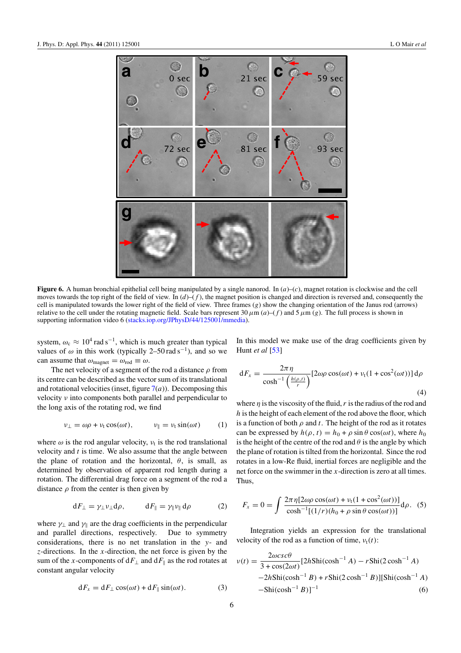<span id="page-6-0"></span>

**Figure 6.** A human bronchial epithelial cell being manipulated by a single nanorod. In (*a*)–(*c*), magnet rotation is clockwise and the cell moves towards the top right of the field of view. In  $(d)$ –(f), the magnet position is changed and direction is reversed and, consequently the cell is manipulated towards the lower right of the field of view. Three frames (*g*) show the changing orientation of the Janus rod (arrows) relative to the cell under the rotating magnetic field. Scale bars represent  $30 \mu m (a)$ –(*f*) and  $5 \mu m (g)$ . The full process is shown in supporting information video 6 [\(stacks.iop.org/JPhysD/44/125001/mmedia\)](http://stacks.iop.org/JPhysD/44/125001/mmedia).

system,  $\omega_c \approx 10^4$  rad s<sup>-1</sup>, which is much greater than typical values of  $\omega$  in this work (typically 2–50 rad s<sup>-1</sup>), and so we can assume that  $\omega_{\text{magnet}} = \omega_{\text{rod}} \equiv \omega$ .

The net velocity of a segment of the rod a distance *ρ* from its centre can be described as the vector sum of its translational and rotational velocities (inset, figure  $7(a)$  $7(a)$ ). Decomposing this velocity *ν* into components both parallel and perpendicular to the long axis of the rotating rod, we find

$$
\nu_{\perp} = \omega \rho + \nu_t \cos(\omega t), \qquad \nu_{\parallel} = \nu_t \sin(\omega t) \qquad (1)
$$

where  $\omega$  is the rod angular velocity,  $\nu_t$  is the rod translational velocity and *t* is time. We also assume that the angle between the plane of rotation and the horizontal,  $\theta$ , is small, as determined by observation of apparent rod length during a rotation. The differential drag force on a segment of the rod a distance  $\rho$  from the center is then given by

$$
dF_{\perp} = \gamma_{\perp} \nu_{\perp} d\rho, \qquad dF_{\parallel} = \gamma_{\parallel} \nu_{\parallel} d\rho \qquad (2)
$$

where  $\gamma_{\perp}$  and  $\gamma_{\parallel}$  are the drag coefficients in the perpendicular and parallel directions, respectively. Due to symmetry and parallel directions, respectively. considerations, there is no net translation in the *y*- and *z*-directions. In the *x*-direction, the net force is given by the sum of the *x*-components of  $dF_{\perp}$  and  $dF_{\parallel}$  as the rod rotates at constant angular velocity

$$
dF_x = dF_{\perp} \cos(\omega t) + dF_{\parallel} \sin(\omega t). \tag{3}
$$

In this model we make use of the drag coefficients given by Hunt *et al* [\[53\]](#page-9-0)

$$
dF_x = \frac{2\pi \eta}{\cosh^{-1}\left(\frac{h(\rho, t)}{r}\right)} [2\omega\rho\cos(\omega t) + v_t(1 + \cos^2(\omega t))] d\rho
$$
\n(4)

where *η* is the viscosity of the fluid,*r* is the radius of the rod and *h* is the height of each element of the rod above the floor, which is a function of both  $\rho$  and  $t$ . The height of the rod as it rotates can be expressed by  $h(\rho, t) = h_0 + \rho \sin \theta \cos(\omega t)$ , where  $h_0$ is the height of the centre of the rod and  $\theta$  is the angle by which the plane of rotation is tilted from the horizontal. Since the rod rotates in a low-Re fluid, inertial forces are negligible and the net force on the swimmer in the *x*-direction is zero at all times. Thus,

$$
F_x = 0 = \int \frac{2\pi \eta [2\omega \rho \cos(\omega t) + v_t (1 + \cos^2(\omega t))] }{\cosh^{-1} [(1/r)(h_0 + \rho \sin \theta \cos(\omega t))] } d\rho.
$$
 (5)

Integration yields an expression for the translational velocity of the rod as a function of time,  $v_t(t)$ :

$$
v(t) = \frac{2\omega csc\theta}{3 + \cos(2\omega t)} [2h\text{Shi}(\cosh^{-1} A) - r\text{Shi}(2\cosh^{-1} A) -2h\text{Shi}(\cosh^{-1} B) + r\text{Shi}(2\cosh^{-1} B)][\text{Shi}(\cosh^{-1} A) -\text{Shi}(\cosh^{-1} B)]^{-1}
$$
(6)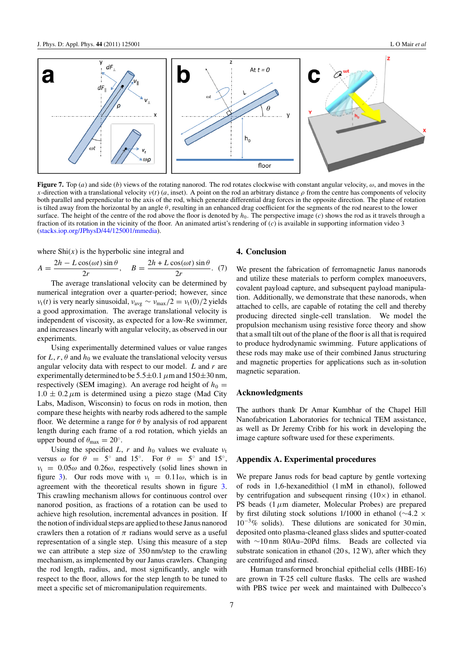<span id="page-7-0"></span>

**Figure 7.** Top (*a*) and side (*b*) views of the rotating nanorod. The rod rotates clockwise with constant angular velocity, *ω*, and moves in the *x*-direction with a translational velocity *ν*(*t*) (*a*, inset). A point on the rod an arbitrary distance  $\rho$  from the centre has components of velocity both parallel and perpendicular to the axis of the rod, which generate differential drag forces in the opposite direction. The plane of rotation is tilted away from the horizontal by an angle *θ*, resulting in an enhanced drag coefficient for the segments of the rod nearest to the lower surface. The height of the centre of the rod above the floor is denoted by  $h_0$ . The perspective image (*c*) shows the rod as it travels through a fraction of its rotation in the vicinity of the floor. An animated artist's rendering of (*c*) is available in supporting information video 3 [\(stacks.iop.org/JPhysD/44/125001/mmedia\)](http://stacks.iop.org/JPhysD/44/125001/mmedia).

where  $\text{Shi}(x)$  is the hyperbolic sine integral and

$$
A = \frac{2h - L\cos(\omega t)\sin\theta}{2r}, \quad B = \frac{2h + L\cos(\omega t)\sin\theta}{2r}.
$$
 (7)

The average translational velocity can be determined by numerical integration over a quarter-period; however, since *ν*<sub>t</sub>(*t*) is very nearly sinusoidal,  $v_{avg} \sim v_{max}/2 = v_t(0)/2$  yields a good approximation. The average translational velocity is independent of viscosity, as expected for a low-Re swimmer, and increases linearly with angular velocity, as observed in our experiments.

Using experimentally determined values or value ranges for  $L, r, \theta$  and  $h_0$  we evaluate the translational velocity versus angular velocity data with respect to our model. *L* and *r* are experimentally determined to be  $5.5 \pm 0.1 \mu$ m and  $150 \pm 30 \text{ nm}$ , respectively (SEM imaging). An average rod height of  $h_0 =$  $1.0 \pm 0.2 \mu$ m is determined using a piezo stage (Mad City Labs, Madison, Wisconsin) to focus on rods in motion, then compare these heights with nearby rods adhered to the sample floor. We determine a range for *θ* by analysis of rod apparent length during each frame of a rod rotation, which yields an upper bound of  $\theta_{\text{max}} = 20^{\circ}$ .

Using the specified *L*, *r* and  $h_0$  values we evaluate  $v_t$ versus  $\omega$  for  $\theta = 5^\circ$  and 15°. For  $\theta = 5^\circ$  and 15°,  $v_t = 0.05\omega$  and  $0.26\omega$ , respectively (solid lines shown in figure [3\)](#page-4-0). Our rods move with  $v_t = 0.11\omega$ , which is in agreement with the theoretical results shown in figure [3.](#page-4-0) This crawling mechanism allows for continuous control over nanorod position, as fractions of a rotation can be used to achieve high resolution, incremental advances in position. If the notion of individual steps are applied to these Janus nanorod crawlers then a rotation of  $\pi$  radians would serve as a useful representation of a single step. Using this measure of a step we can attribute a step size of 350 nm/step to the crawling mechanism, as implemented by our Janus crawlers. Changing the rod length, radius, and, most significantly, angle with respect to the floor, allows for the step length to be tuned to meet a specific set of micromanipulation requirements.

### **4. Conclusion**

We present the fabrication of ferromagnetic Janus nanorods and utilize these materials to perform complex manoeuvers, covalent payload capture, and subsequent payload manipulation. Additionally, we demonstrate that these nanorods, when attached to cells, are capable of rotating the cell and thereby producing directed single-cell translation. We model the propulsion mechanism using resistive force theory and show that a small tilt out of the plane of the floor is all that is required to produce hydrodynamic swimming. Future applications of these rods may make use of their combined Janus structuring and magnetic properties for applications such as in-solution magnetic separation.

### **Acknowledgments**

The authors thank Dr Amar Kumbhar of the Chapel Hill Nanofabrication Laboratories for technical TEM assistance, as well as Dr Jeremy Cribb for his work in developing the image capture software used for these experiments.

### **Appendix A. Experimental procedures**

We prepare Janus rods for bead capture by gentle vortexing of rods in 1,6-hexanedithiol (1 mM in ethanol), followed by centrifugation and subsequent rinsing  $(10\times)$  in ethanol. PS beads (1*µ*m diameter, Molecular Probes) are prepared by first diluting stock solutions 1/1000 in ethanol (∼4*.*2 × 10−3% solids). These dilutions are sonicated for 30 min, deposited onto plasma-cleaned glass slides and sputter-coated with ∼10 nm 80Au–20Pd films. Beads are collected via substrate sonication in ethanol (20 s, 12 W), after which they are centrifuged and rinsed.

Human transformed bronchial epithelial cells (HBE-16) are grown in T-25 cell culture flasks. The cells are washed with PBS twice per week and maintained with Dulbecco's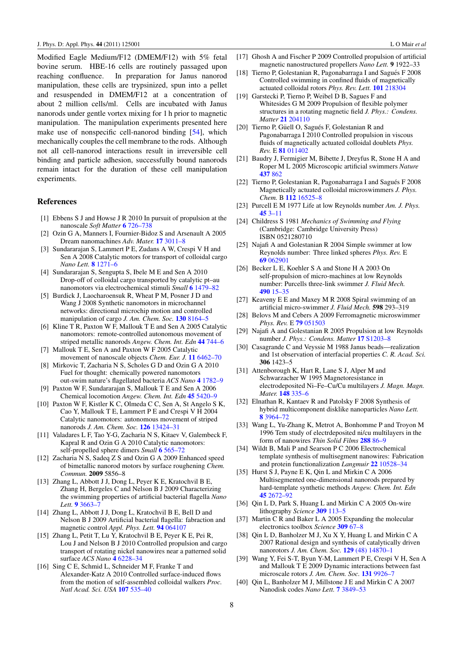<span id="page-8-0"></span>Modified Eagle Medium/F12 (DMEM/F12) with 5% fetal bovine serum. HBE-16 cells are routinely passaged upon reaching confluence. In preparation for Janus nanorod manipulation, these cells are trypsinized, spun into a pellet and resuspended in DMEM/F12 at a concentration of about 2 million cells/ml. Cells are incubated with Janus nanorods under gentle vortex mixing for 1 h prior to magnetic manipulation. The manipulation experiments presented here make use of nonspecific cell-nanorod binding [\[54\]](#page-9-0), which mechanically couples the cell membrane to the rods. Although not all cell-nanorod interactions result in irreversible cell binding and particle adhesion, successfully bound nanorods remain intact for the duration of these cell manipulation experiments.

### **References**

- [1] Ebbens S J and Howse J R 2010 In pursuit of propulsion at the nanoscale *Soft Matter* **6** [726–738](http://dx.doi.org/10.1039/b918598d)
- [2] Ozin G A, Manners I, Fournier-Bidoz S and Arsenault A 2005 Dream nanomachines *Adv. Mater.* **17** [3011–8](http://dx.doi.org/10.1002/adma.200501767)
- [3] Sundararajan S, Lammert P E, Zudans A W, Crespi V H and Sen A 2008 Catalytic motors for transport of colloidal cargo *Nano Lett.* **8** [1271–6](http://dx.doi.org/10.1021/nl072275j)
- [4] Sundararajan S, Sengupta S, Ibele M E and Sen A 2010 Drop-off of colloidal cargo transported by catalytic pt–au nanomotors via electrochemical stimuli *Small* **6** [1479–82](http://dx.doi.org/10.1002/smll.201000227)
- [5] Burdick J, Laocharoensuk R, Wheat P M, Posner J D and Wang J 2008 Synthetic nanomotors in microchannel networks: directional microchip motion and controlled manipulation of cargo *J. Am. Chem. Soc.* **130** [8164–5](http://dx.doi.org/10.1021/ja803529u)
- [6] Kline T R, Paxton W F, Mallouk T E and Sen A 2005 Catalytic nanomotors: remote-controlled autonomous movement of striped metallic nanorods *Angew. Chem. Int. Edn* **44** [744–6](http://dx.doi.org/10.1002/anie.200461890)
- [7] Mallouk T E, Sen A and Paxton W F 2005 Catalytic movement of nanoscale objects *Chem. Eur. J.* **11** [6462–70](http://dx.doi.org/10.1002/chem.200500167)
- [8] Mirkovic T, Zacharia N S, Scholes G D and Ozin G A 2010 Fuel for thought: chemically powered nanomotors out-swim nature's flagellated bacteria *ACS Nano* **4** [1782–9](http://dx.doi.org/10.1021/nn100669h)
- [9] Paxton W F, Sundararajan S, Mallouk T E and Sen A 2006 Chemical locomotion *Angew. Chem. Int. Edn* **45** [5420–9](http://dx.doi.org/10.1002/anie.200600060)
- [10] Paxton W F, Kistler K C, Olmeda C C, Sen A, St Angelo S K, Cao Y, Mallouk T E, Lammert P E and Crespi V H 2004 Catalytic nanomotors: autonomous movement of striped nanorods *J. Am. Chem. Soc.* **126** [13424–31](http://dx.doi.org/10.1021/ja047697z)
- [11] Valadares L F, Tao Y-G, Zacharia N S, Kitaev V, Galembeck F, Kapral R and Ozin G A 2010 Catalytic nanomotors: self-propelled sphere dimers *Small* **6** [565–72](http://dx.doi.org/10.1002/smll.200901976)
- [12] Zacharia N S, Sadeq Z S and Ozin G A 2009 Enhanced speed of bimetallic nanorod motors by surface roughening *Chem. Commun.* **2009** 5856–8
- [13] Zhang L, Abbott J J, Dong L, Peyer K E, Kratochvil B E, Zhang H, Bergeles C and Nelson B J 2009 Characterizing the swimming properties of artificial bacterial flagella *Nano Lett.* **9** [3663–7](http://dx.doi.org/10.1021/nl901869j)
- [14] Zhang L, Abbott J J, Dong L, Kratochvil B E, Bell D and Nelson B J 2009 Artificial bacterial flagella: fabraction and magnetic control *Appl. Phys. Lett.* **94** [064107](http://dx.doi.org/10.1063/1.3079655)
- [15] Zhang L, Petit T, Lu Y, Kratochvil B E, Peyer K E, Pei R, Lou J and Nelson B J 2010 Controlled propulsion and cargo transport of rotating nickel nanowires near a patterned solid surface *ACS Nano* **4** [6228–34](http://dx.doi.org/10.1021/nn101861n)
- [16] Sing C E, Schmid L, Schneider M F, Franke T and Alexander-Katz A 2010 Controlled surface-induced flows from the motion of self-assembled colloidal walkers *Proc. Natl Acad. Sci. USA* **107** [535–40](http://dx.doi.org/10.1073/pnas.0906489107)
- [17] Ghosh A and Fischer P 2009 Controlled propulsion of artificial magnetic nanostructured propellers *Nano Lett.* **9** 1922–33
- [18] Tierno P, Golestanian R, Pagonabarraga I and Sagués F 2008 Controlled swimming in confined fluids of magnetically actuated colloidal rotors *Phys. Rev. Lett.* **101** [218304](http://dx.doi.org/10.1103/PhysRevLett.101.218304)
- [19] Garstecki P, Tierno P, Weibel D B, Sagues F and Whitesides G M 2009 Propulsion of flexible polymer structures in a rotating magnetic field *J. Phys.: Condens. Matter* **21** [204110](http://dx.doi.org/10.1088/0953-8984/21/20/204110)
- [20] Tierno P, Güell O, Sagués F, Golestanian R and Pagonabarraga I 2010 Controlled propulsion in viscous fluids of magnetically actuated colloidal doublets *Phys. Rev.* E **81** [011402](http://dx.doi.org/10.1103/PhysRevE.81.011402)
- [21] Baudry J, Fermigier M, Bibette J, Dreyfus R, Stone H A and Roper M L 2005 Microscopic artificial swimmers *Nature* **[437](http://dx.doi.org/10.1038/nature04090)** 862
- [22] Tierno P, Golestanian R, Pagonabarraga I and Sagués F 2008 Magnetically actuated colloidal microswimmers *J. Phys. Chem.* B **112** [16525–8](http://dx.doi.org/10.1021/jp808354n)
- [23] Purcell E M 1977 Life at low Reynolds number *Am. J. Phys.* **45** [3–11](http://dx.doi.org/10.1119/1.10903)
- [24] Childress S 1981 *Mechanics of Swimming and Flying* (Cambridge: Cambridge University Press) ISBN 0521280710
- [25] Najafi A and Golestanian R 2004 Simple swimmer at low Reynolds number: Three linked spheres *Phys. Rev.* E **69** [062901](http://dx.doi.org/10.1103/PhysRevE.69.062901)
- [26] Becker L E, Koehler S A and Stone H A 2003 On self-propulsion of micro-machines at low Reynolds number: Purcells three-link swimmer *J. Fluid Mech.* **490** [15–35](http://dx.doi.org/10.1017/S0022112003005184)
- [27] Keaveny E E and Maxey M R 2008 Spiral swimming of an artificial micro-swimmer *J. Fluid Mech.* **598** 293–319
- [28] Belovs M and Cebers A 2009 Ferromagnetic microswimmer *Phys. Rev.* E **79** [051503](http://dx.doi.org/10.1103/PhysRevE.79.051503)
- [29] Najafi A and Golestanian R 2005 Propulsion at low Reynolds number *J. Phys.: Condens. Matter* **17** [S1203–8](http://dx.doi.org/10.1088/0953-8984/17/14/009)
- [30] Casagrande C and Veyssie M 1988 Janus beads—realization and 1st observation of interfacial properties *C. R. Acad. Sci.* **306** 1423–5
- [31] Attenborough K, Hart R, Lane S J, Alper M and Schwarzacher W 1995 Magnetoresistance in electrodeposited Ni–Fe–Cu/Cu multilayers *J. Magn. Magn. Mater.* **148** [335–6](http://dx.doi.org/10.1016/0304-8853(95)89007-6)
- [32] Elnathan R, Kantaev R and Patolsky F 2008 Synthesis of hybrid multicomponent disklike nanoparticles *Nano Lett.* **8** [3964–72](http://dx.doi.org/10.1021/nl802467d)
- [33] Wang L, Yu-Zhang K, Metrot A, Bonhomme P and Troyon M 1996 Tem study of electrdeposited ni/cu multilayers in the form of nanowires *Thin Solid Films* **288** [86–9](http://dx.doi.org/10.1016/S0040-6090(96)08791-3)
- [34] Wildt B, Mali P and Searson P C 2006 Electrochemical template synthesis of multisegment nanowires: Fabrication and protein functionalization *Langmuir* **22** [10528–34](http://dx.doi.org/10.1021/la061184j)
- [35] Hurst S J, Payne E K, Qin L and Mirkin C A 2006 Multisegmented one-dimensional nanorods prepared by hard-template synthetic methods *Angew. Chem. Int. Edn* **45** [2672–92](http://dx.doi.org/10.1002/anie.200504025)
- [36] Qin L D, Park S, Huang L and Mirkin C A 2005 On-wire lithography *Science* **309** [113–5](http://dx.doi.org/10.1126/science.1112666)
- [37] Martin C R and Baker L A 2005 Expanding the molecular electronics toolbox *Science* **309** [67–8](http://dx.doi.org/10.1126/science.1114663)
- [38] Qin L D, Banholzer M J, Xu X Y, Huang L and Mirkin C A 2007 Rational design and synthesis of catalytically driven nanorotors *J. Am. Chem. Soc.* **129** [\(48\) 14870–1](http://dx.doi.org/10.1021/ja0772391)
- [39] Wang Y, Fei S-T, Byun Y-M, Lammert P E, Crespi V H, Sen A and Mallouk T E 2009 Dynamic interactions between fast microscale rotors *J. Am. Chem. Soc.* **131** [9926–7](http://dx.doi.org/10.1021/ja904827j)
- [40] Qin L, Banholzer M J, Millstone J E and Mirkin C A 2007 Nanodisk codes *Nano Lett.* **7** [3849–53](http://dx.doi.org/10.1021/nl072606s)